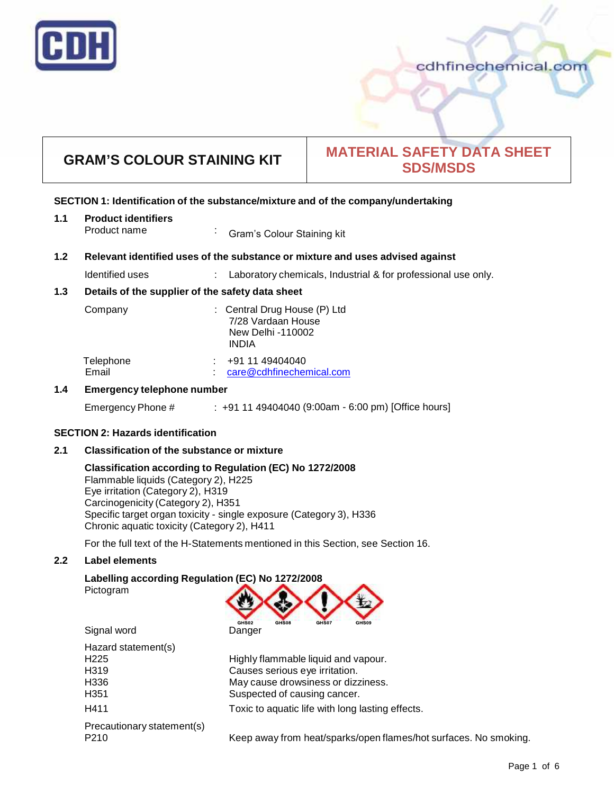

# cdhfinechemical.com

# **GRAM'S COLOUR STAINING KIT MATERIAL SAFETY DATA SHEET SDS/MSDS**

#### **SECTION 1: Identification of the substance/mixture and of the company/undertaking**

| 1.1 | <b>Product identifiers</b> |                            |
|-----|----------------------------|----------------------------|
|     | Product name               | Gram's Colour Staining kit |

#### **1.2 Relevant identified uses of the substance ormixture and uses advised against**

Identified uses : Laboratory chemicals, Industrial & for professional use only.

#### **1.3 Details of the supplier of the safety data sheet**

| Company            | : Central Drug House (P) Ltd<br>7/28 Vardaan House<br>New Delhi -110002<br>INDIA |
|--------------------|----------------------------------------------------------------------------------|
| Telephone<br>Email | +91 11 49404040<br>care@cdhfinechemical.com                                      |

#### **1.4 Emergency telephone number**

Emergency Phone # : +91 11 49404040 (9:00am - 6:00 pm) [Office hours]

#### **SECTION 2: Hazards identification**

#### **2.1 Classification of the substance ormixture**

#### **Classification according to Regulation (EC) No 1272/2008**

Flammable liquids (Category 2), H225 Eye irritation (Category 2), H319 Carcinogenicity (Category 2), H351 Specific target organ toxicity - single exposure (Category 3), H336 Chronic aquatic toxicity (Category 2), H411

For the full text of the H-Statements mentioned in this Section, see Section 16.

#### **2.2 Label elements**

#### **Labelling according Regulation (EC) No 1272/2008** Pictogram



| Hazard statement(s)        |                                                  |
|----------------------------|--------------------------------------------------|
| H <sub>225</sub>           | Highly flammable liquid and vapour.              |
| H319                       | Causes serious eye irritation.                   |
| H336                       | May cause drowsiness or dizziness.               |
| H <sub>351</sub>           | Suspected of causing cancer.                     |
| H411                       | Toxic to aquatic life with long lasting effects. |
| Precautionary statement(s) |                                                  |
| D <sub>210</sub>           | Koop away from boat/sparks/apon flames/bot surfa |

P210 Keep away from heat/sparks/open flames/hot surfaces. No smoking.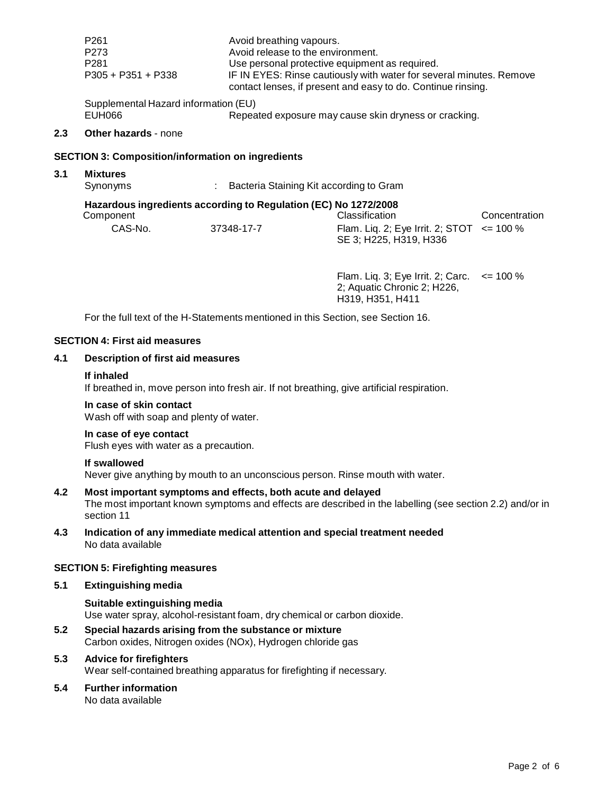|     | P <sub>261</sub><br>P273<br>P <sub>281</sub><br>$P305 + P351 + P338$ | Avoid breathing vapours.<br>Avoid release to the environment.   | Use personal protective equipment as required.<br>IF IN EYES: Rinse cautiously with water for several minutes. Remove<br>contact lenses, if present and easy to do. Continue rinsing. |               |
|-----|----------------------------------------------------------------------|-----------------------------------------------------------------|---------------------------------------------------------------------------------------------------------------------------------------------------------------------------------------|---------------|
|     | Supplemental Hazard information (EU)<br>EUH066                       |                                                                 | Repeated exposure may cause skin dryness or cracking.                                                                                                                                 |               |
| 2.3 | <b>Other hazards - none</b>                                          |                                                                 |                                                                                                                                                                                       |               |
|     | <b>SECTION 3: Composition/information on ingredients</b>             |                                                                 |                                                                                                                                                                                       |               |
| 3.1 | <b>Mixtures</b><br>Synonyms                                          | Bacteria Staining Kit according to Gram                         |                                                                                                                                                                                       |               |
|     | Component                                                            | Hazardous ingredients according to Regulation (EC) No 1272/2008 | Classification                                                                                                                                                                        | Concentration |
|     | CAS-No.                                                              | 37348-17-7                                                      | Flam. Liq. 2; Eye Irrit. 2; STOT $\le$ = 100 %                                                                                                                                        |               |

Flam. Liq. 3; Eye Irrit.2; Carc. <= 100 % 2; Aquatic Chronic 2; H226, H319, H351, H411

SE 3; H225, H319, H336

For the full text of the H-Statements mentioned in this Section, see Section 16.

#### **SECTION 4: First aid measures**

#### **4.1 Description of first aid measures**

#### **If inhaled**

If breathed in, move person into fresh air. If not breathing, give artificial respiration.

#### **In case of skin contact**

Wash off with soap and plenty of water.

#### **In case of eye contact**

Flush eyes with water as a precaution.

#### **If swallowed**

Never give anything by mouth to an unconscious person. Rinse mouth with water.

#### **4.2 Most important symptoms and effects, both acute and delayed**

The most important known symptoms and effects are described in the labelling (see section 2.2) and/or in section 11

**4.3 Indication of any immediate medical attention and special treatment needed** No data available

#### **SECTION 5: Firefighting measures**

**5.1 Extinguishing media**

#### **Suitable extinguishing media**

Use water spray, alcohol-resistant foam, dry chemical or carbon dioxide.

**5.2 Special hazards arising from the substance ormixture** Carbon oxides, Nitrogen oxides (NOx), Hydrogen chloride gas

#### **5.3 Advice for firefighters**

Wear self-contained breathing apparatus for firefighting if necessary.

# **5.4 Further information**

No data available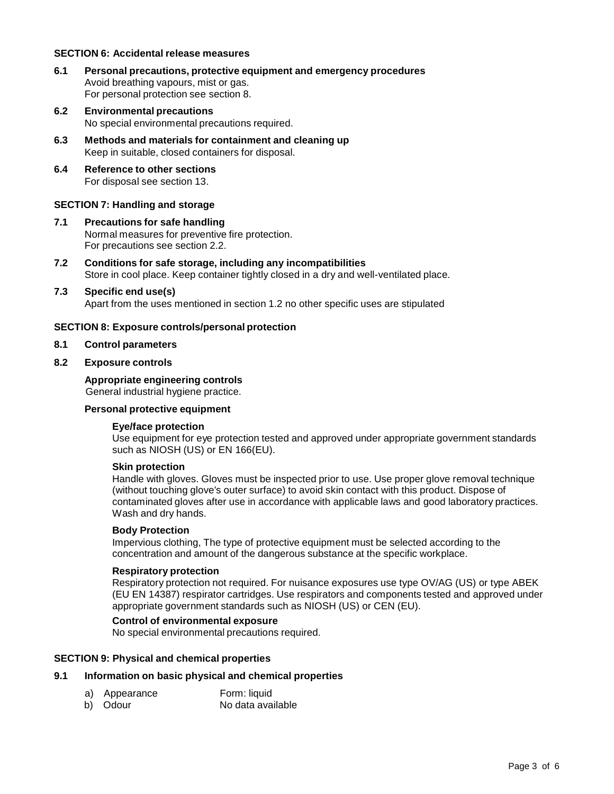#### **SECTION 6: Accidental release measures**

- **6.1 Personal precautions, protective equipment and emergency procedures** Avoid breathing vapours, mist or gas. For personal protection see section 8.
- **6.2 Environmental precautions** No special environmental precautions required.
- **6.3 Methods and materials for containment and cleaning up** Keep in suitable, closed containers for disposal.
- **6.4 Reference to other sections** For disposal see section 13.

#### **SECTION 7: Handling and storage**

- **7.1 Precautions for safe handling** Normal measures for preventive fire protection. For precautions see section 2.2.
- **7.2 Conditions for safe storage, including any incompatibilities** Store in cool place. Keep container tightly closed in a dry and well-ventilated place.

# **7.3 Specific end use(s)**

Apart from the uses mentioned in section 1.2 no other specific uses are stipulated

#### **SECTION 8: Exposure controls/personal protection**

**8.1 Control parameters**

#### **8.2 Exposure controls**

### **Appropriate engineering controls**

General industrial hygiene practice.

#### **Personal protective equipment**

#### **Eye/face protection**

Use equipment for eye protection tested and approved under appropriate government standards such as NIOSH (US) or EN 166(EU).

#### **Skin protection**

Handle with gloves. Gloves must be inspected prior to use. Use proper glove removal technique (without touching glove's outer surface) to avoid skin contact with this product. Dispose of contaminated gloves after use in accordance with applicable laws and good laboratory practices. Wash and dry hands.

#### **Body Protection**

Impervious clothing, The type of protective equipment must be selected according to the concentration and amount of the dangerous substance at the specific workplace.

#### **Respiratory protection**

Respiratory protection not required. For nuisance exposures use type OV/AG (US) or type ABEK (EU EN 14387) respirator cartridges. Use respirators and components tested and approved under appropriate government standards such as NIOSH (US) or CEN (EU).

#### **Control of environmental exposure**

No special environmental precautions required.

#### **SECTION 9: Physical and chemical properties**

### **9.1 Information on basic physical and chemical properties**

- a) Appearance Form: liquid
- 
- b) Odour No data available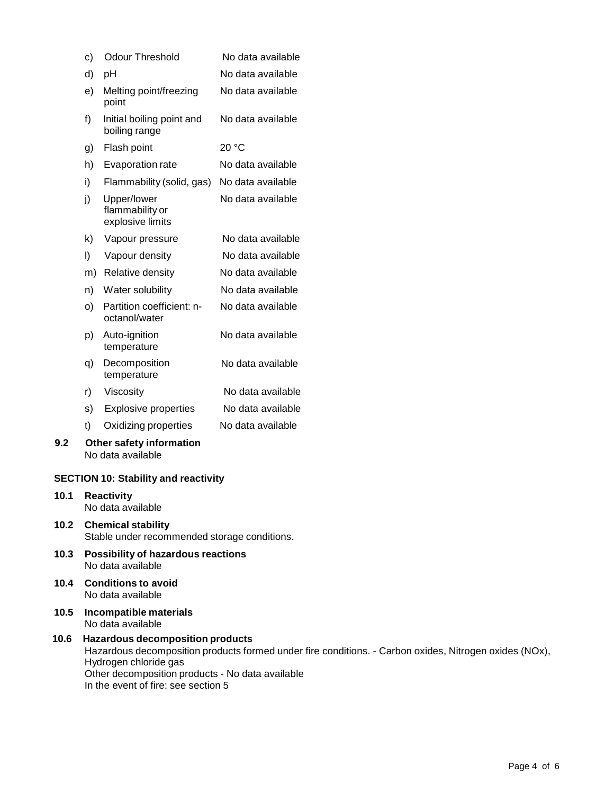| c) | <b>Odour Threshold</b>                             | No data available |
|----|----------------------------------------------------|-------------------|
| d) | рH                                                 | No data available |
| e) | Melting point/freezing<br>point                    | No data available |
| f) | Initial boiling point and<br>boiling range         | No data available |
| g) | Flash point                                        | 20 °C             |
| h) | <b>Evaporation rate</b>                            | No data available |
| i) | Flammability (solid, gas)                          | No data available |
| j) | Upper/lower<br>flammability or<br>explosive limits | No data available |
| k) | Vapour pressure                                    | No data available |
| I) | Vapour density                                     | No data available |
| m) | Relative density                                   | No data available |
| n) | Water solubility                                   | No data available |
| o) | Partition coefficient: n-<br>octanol/water         | No data available |
| p) | Auto-ignition<br>temperature                       | No data available |
| q) | Decomposition<br>temperature                       | No data available |
| r) | Viscosity                                          | No data available |
| s) | <b>Explosive properties</b>                        | No data available |
| t) | Oxidizing properties                               | No data available |
|    |                                                    |                   |

#### **9.2 Other safety information** No data available

#### **SECTION 10: Stability and reactivity**

- **10.1 Reactivity** No data available
- **10.2 Chemical stability** Stable under recommended storage conditions.
- **10.3 Possibility of hazardous reactions** No data available
- **10.4 Conditions to avoid** No data available
- **10.5 Incompatible materials** No data available

#### **10.6 Hazardous decomposition products** Hazardous decomposition products formed under fire conditions. - Carbon oxides, Nitrogen oxides (NOx), Hydrogen chloride gas Other decomposition products - No data available In the event of fire: see section 5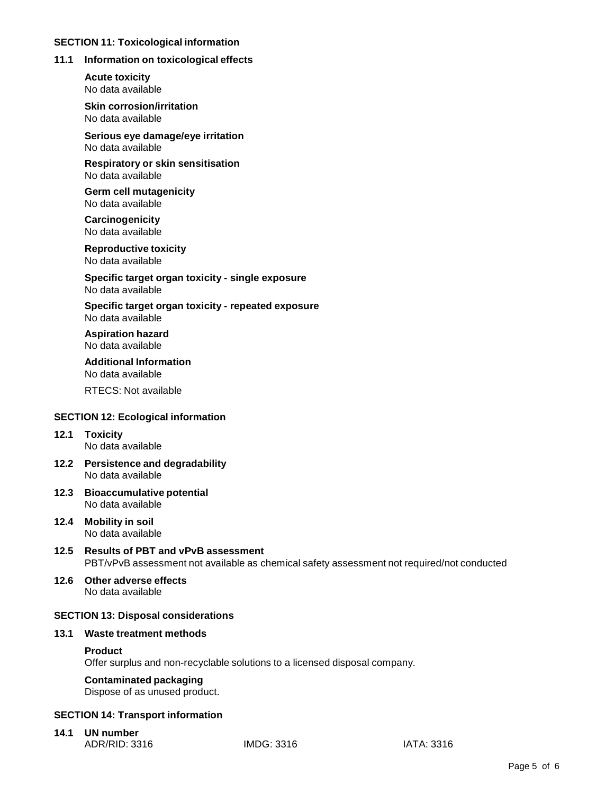#### **SECTION 11: Toxicological information**

#### **11.1 Information on toxicological effects**

**Acute toxicity** No data available

**Skin corrosion/irritation** No data available

**Serious eye damage/eye irritation** No data available

**Respiratory orskin sensitisation** No data available

**Germ cell mutagenicity** No data available

**Carcinogenicity** No data available

**Reproductive toxicity** No data available

**Specific target organ toxicity - single exposure** No data available

**Specific target organ toxicity - repeated exposure** No data available

**Aspiration hazard** No data available

**Additional Information** No data available

RTECS: Not available

#### **SECTION 12: Ecological information**

#### **12.1 Toxicity** No data available

- **12.2 Persistence and degradability** No data available
- **12.3 Bioaccumulative potential** No data available
- **12.4 Mobility in soil** No data available
- **12.5 Results of PBT and vPvB assessment** PBT/vPvB assessment not available as chemical safety assessment not required/not conducted
- **12.6 Other adverse effects** No data available

#### **SECTION 13: Disposal considerations**

#### **13.1 Waste treatment methods**

#### **Product**

Offer surplus and non-recyclable solutions to a licensed disposal company.

#### **Contaminated packaging**

Dispose of as unused product.

#### **SECTION 14: Transport information**

**14.1 UN number** ADR/RID: 3316 IMDG: 3316 IATA: 3316